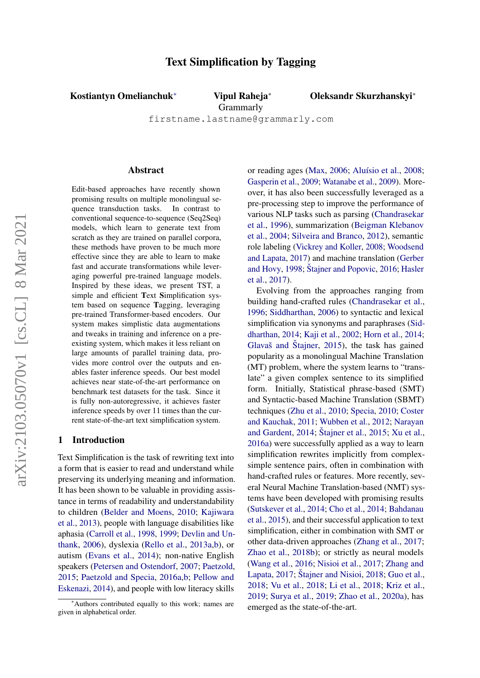# Text Simplification by Tagging

Kostiantyn Omelianchuk<sup>∗</sup> Vipul Raheja<sup>∗</sup>

Oleksandr Skurzhanskyi<sup>∗</sup>

**Grammarly** 

firstname.lastname@grammarly.com

#### Abstract

Edit-based approaches have recently shown promising results on multiple monolingual sequence transduction tasks. In contrast to conventional sequence-to-sequence (Seq2Seq) models, which learn to generate text from scratch as they are trained on parallel corpora, these methods have proven to be much more effective since they are able to learn to make fast and accurate transformations while leveraging powerful pre-trained language models. Inspired by these ideas, we present TST, a simple and efficient Text Simplification system based on sequence Tagging, leveraging pre-trained Transformer-based encoders. Our system makes simplistic data augmentations and tweaks in training and inference on a preexisting system, which makes it less reliant on large amounts of parallel training data, provides more control over the outputs and enables faster inference speeds. Our best model achieves near state-of-the-art performance on benchmark test datasets for the task. Since it is fully non-autoregressive, it achieves faster inference speeds by over 11 times than the current state-of-the-art text simplification system.

## 1 Introduction

Text Simplification is the task of rewriting text into a form that is easier to read and understand while preserving its underlying meaning and information. It has been shown to be valuable in providing assistance in terms of readability and understandability to children [\(Belder and Moens,](#page-8-0) [2010;](#page-8-0) [Kajiwara](#page-9-0) [et al.,](#page-9-0) [2013\)](#page-9-0), people with language disabilities like aphasia [\(Carroll et al.,](#page-8-1) [1998,](#page-8-1) [1999;](#page-8-2) [Devlin and Un](#page-9-1)[thank,](#page-9-1) [2006\)](#page-9-1), dyslexia [\(Rello et al.,](#page-11-0) [2013a,](#page-11-0)[b\)](#page-11-1), or autism [\(Evans et al.,](#page-9-2) [2014\)](#page-9-2); non-native English speakers [\(Petersen and Ostendorf,](#page-10-0) [2007;](#page-10-0) [Paetzold,](#page-10-1) [2015;](#page-10-1) [Paetzold and Specia,](#page-10-2) [2016a](#page-10-2)[,b;](#page-10-3) [Pellow and](#page-10-4) [Eskenazi,](#page-10-4) [2014\)](#page-10-4), and people with low literacy skills

or reading ages [\(Max,](#page-10-5) [2006;](#page-10-5) Aluísio et al., [2008;](#page-8-3) [Gasperin et al.,](#page-9-3) [2009;](#page-9-3) [Watanabe et al.,](#page-11-2) [2009\)](#page-11-2). Moreover, it has also been successfully leveraged as a pre-processing step to improve the performance of various NLP tasks such as parsing [\(Chandrasekar](#page-8-4) [et al.,](#page-8-4) [1996\)](#page-8-4), summarization [\(Beigman Klebanov](#page-8-5) [et al.,](#page-8-5) [2004;](#page-8-5) [Silveira and Branco,](#page-11-3) [2012\)](#page-11-3), semantic role labeling [\(Vickrey and Koller,](#page-11-4) [2008;](#page-11-4) [Woodsend](#page-12-0) [and Lapata,](#page-12-0) [2017\)](#page-12-0) and machine translation [\(Gerber](#page-9-4) [and Hovy,](#page-9-4) [1998;](#page-9-4) [Stajner and Popovic](#page-11-5), [2016;](#page-11-5) [Hasler](#page-9-5) [et al.,](#page-9-5) [2017\)](#page-9-5).

Evolving from the approaches ranging from building hand-crafted rules [\(Chandrasekar et al.,](#page-8-4) [1996;](#page-8-4) [Siddharthan,](#page-11-6) [2006\)](#page-11-6) to syntactic and lexical simplification via synonyms and paraphrases [\(Sid](#page-11-7)[dharthan,](#page-11-7) [2014;](#page-11-7) [Kaji et al.,](#page-9-6) [2002;](#page-9-6) [Horn et al.,](#page-9-7) [2014;](#page-9-7) Glavaš and Štajner,  $2015$ ), the task has gained popularity as a monolingual Machine Translation (MT) problem, where the system learns to "translate" a given complex sentence to its simplified form. Initially, Statistical phrase-based (SMT) and Syntactic-based Machine Translation (SBMT) techniques [\(Zhu et al.,](#page-12-1) [2010;](#page-12-1) [Specia,](#page-11-8) [2010;](#page-11-8) [Coster](#page-9-9) [and Kauchak,](#page-9-9) [2011;](#page-9-9) [Wubben et al.,](#page-12-2) [2012;](#page-12-2) [Narayan](#page-10-6) [and Gardent,](#page-10-6)  $2014$ ; Štajner et al.,  $2015$ ; [Xu et al.,](#page-12-3) [2016a\)](#page-12-3) were successfully applied as a way to learn simplification rewrites implicitly from complexsimple sentence pairs, often in combination with hand-crafted rules or features. More recently, several Neural Machine Translation-based (NMT) systems have been developed with promising results [\(Sutskever et al.,](#page-11-10) [2014;](#page-11-10) [Cho et al.,](#page-9-10) [2014;](#page-9-10) [Bahdanau](#page-8-6) [et al.,](#page-8-6) [2015\)](#page-8-6), and their successful application to text simplification, either in combination with SMT or other data-driven approaches [\(Zhang et al.,](#page-12-4) [2017;](#page-12-4) [Zhao et al.,](#page-12-5) [2018b\)](#page-12-5); or strictly as neural models [\(Wang et al.,](#page-11-11) [2016;](#page-11-11) [Nisioi et al.,](#page-10-7) [2017;](#page-10-7) [Zhang and](#page-12-6) [Lapata,](#page-12-6)  $2017$ ; Štajner and Nisioi,  $2018$ ; [Guo et al.,](#page-9-11) [2018;](#page-9-11) [Vu et al.,](#page-11-13) [2018;](#page-11-13) [Li et al.,](#page-10-8) [2018;](#page-10-8) [Kriz et al.,](#page-9-12) [2019;](#page-9-12) [Surya et al.,](#page-11-14) [2019;](#page-11-14) [Zhao et al.,](#page-12-7) [2020a\)](#page-12-7), has emerged as the state-of-the-art.

<sup>∗</sup>Authors contributed equally to this work; names are given in alphabetical order.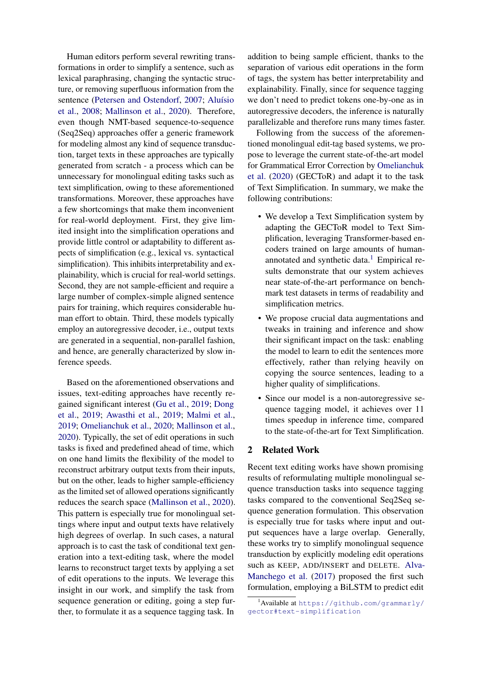Human editors perform several rewriting transformations in order to simplify a sentence, such as lexical paraphrasing, changing the syntactic structure, or removing superfluous information from the sentence [\(Petersen and Ostendorf,](#page-10-0) [2007;](#page-10-0) Aluísio [et al.,](#page-8-7) [2008;](#page-8-7) [Mallinson et al.,](#page-10-9) [2020\)](#page-10-9). Therefore, even though NMT-based sequence-to-sequence (Seq2Seq) approaches offer a generic framework for modeling almost any kind of sequence transduction, target texts in these approaches are typically generated from scratch - a process which can be unnecessary for monolingual editing tasks such as text simplification, owing to these aforementioned transformations. Moreover, these approaches have a few shortcomings that make them inconvenient for real-world deployment. First, they give limited insight into the simplification operations and provide little control or adaptability to different aspects of simplification (e.g., lexical vs. syntactical simplification). This inhibits interpretability and explainability, which is crucial for real-world settings. Second, they are not sample-efficient and require a large number of complex-simple aligned sentence pairs for training, which requires considerable human effort to obtain. Third, these models typically employ an autoregressive decoder, i.e., output texts are generated in a sequential, non-parallel fashion, and hence, are generally characterized by slow inference speeds.

Based on the aforementioned observations and issues, text-editing approaches have recently regained significant interest [\(Gu et al.,](#page-9-13) [2019;](#page-9-13) [Dong](#page-9-14) [et al.,](#page-9-14) [2019;](#page-9-14) [Awasthi et al.,](#page-8-8) [2019;](#page-8-8) [Malmi et al.,](#page-10-10) [2019;](#page-10-10) [Omelianchuk et al.,](#page-10-11) [2020;](#page-10-11) [Mallinson et al.,](#page-10-9) [2020\)](#page-10-9). Typically, the set of edit operations in such tasks is fixed and predefined ahead of time, which on one hand limits the flexibility of the model to reconstruct arbitrary output texts from their inputs, but on the other, leads to higher sample-efficiency as the limited set of allowed operations significantly reduces the search space [\(Mallinson et al.,](#page-10-9) [2020\)](#page-10-9). This pattern is especially true for monolingual settings where input and output texts have relatively high degrees of overlap. In such cases, a natural approach is to cast the task of conditional text generation into a text-editing task, where the model learns to reconstruct target texts by applying a set of edit operations to the inputs. We leverage this insight in our work, and simplify the task from sequence generation or editing, going a step further, to formulate it as a sequence tagging task. In

addition to being sample efficient, thanks to the separation of various edit operations in the form of tags, the system has better interpretability and explainability. Finally, since for sequence tagging we don't need to predict tokens one-by-one as in autoregressive decoders, the inference is naturally parallelizable and therefore runs many times faster.

Following from the success of the aforementioned monolingual edit-tag based systems, we propose to leverage the current state-of-the-art model for Grammatical Error Correction by [Omelianchuk](#page-10-11) [et al.](#page-10-11) [\(2020\)](#page-10-11) (GECToR) and adapt it to the task of Text Simplification. In summary, we make the following contributions:

- We develop a Text Simplification system by adapting the GECToR model to Text Simplification, leveraging Transformer-based encoders trained on large amounts of humanannotated and synthetic data. $<sup>1</sup>$  $<sup>1</sup>$  $<sup>1</sup>$  Empirical re-</sup> sults demonstrate that our system achieves near state-of-the-art performance on benchmark test datasets in terms of readability and simplification metrics.
- We propose crucial data augmentations and tweaks in training and inference and show their significant impact on the task: enabling the model to learn to edit the sentences more effectively, rather than relying heavily on copying the source sentences, leading to a higher quality of simplifications.
- Since our model is a non-autoregressive sequence tagging model, it achieves over 11 times speedup in inference time, compared to the state-of-the-art for Text Simplification.

## 2 Related Work

Recent text editing works have shown promising results of reformulating multiple monolingual sequence transduction tasks into sequence tagging tasks compared to the conventional Seq2Seq sequence generation formulation. This observation is especially true for tasks where input and output sequences have a large overlap. Generally, these works try to simplify monolingual sequence transduction by explicitly modeling edit operations such as KEEP, ADD/INSERT and DELETE. [Alva-](#page-8-9)[Manchego et al.](#page-8-9) [\(2017\)](#page-8-9) proposed the first such formulation, employing a BiLSTM to predict edit

<span id="page-1-0"></span><sup>1</sup>Available at [https://github.com/grammarly/](https://github.com/grammarly/gector#text-simplification) [gector#text-simplification](https://github.com/grammarly/gector#text-simplification)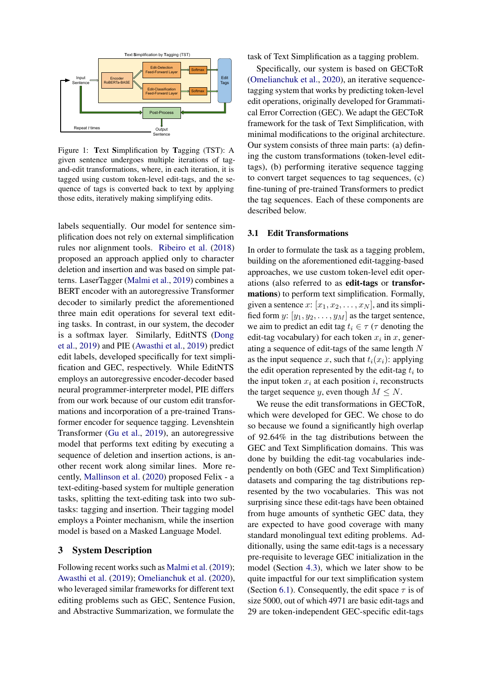<span id="page-2-1"></span>

Figure 1: Text Simplification by Tagging (TST): A given sentence undergoes multiple iterations of tagand-edit transformations, where, in each iteration, it is tagged using custom token-level edit-tags, and the sequence of tags is converted back to text by applying those edits, iteratively making simplifying edits.

labels sequentially. Our model for sentence simplification does not rely on external simplification rules nor alignment tools. [Ribeiro et al.](#page-11-15) [\(2018\)](#page-11-15) proposed an approach applied only to character deletion and insertion and was based on simple patterns. LaserTagger [\(Malmi et al.,](#page-10-10) [2019\)](#page-10-10) combines a BERT encoder with an autoregressive Transformer decoder to similarly predict the aforementioned three main edit operations for several text editing tasks. In contrast, in our system, the decoder is a softmax layer. Similarly, EditNTS [\(Dong](#page-9-14) [et al.,](#page-9-14) [2019\)](#page-9-14) and PIE [\(Awasthi et al.,](#page-8-8) [2019\)](#page-8-8) predict edit labels, developed specifically for text simplification and GEC, respectively. While EditNTS employs an autoregressive encoder-decoder based neural programmer-interpreter model, PIE differs from our work because of our custom edit transformations and incorporation of a pre-trained Transformer encoder for sequence tagging. Levenshtein Transformer [\(Gu et al.,](#page-9-13) [2019\)](#page-9-13), an autoregressive model that performs text editing by executing a sequence of deletion and insertion actions, is another recent work along similar lines. More recently, [Mallinson et al.](#page-10-9) [\(2020\)](#page-10-9) proposed Felix - a text-editing-based system for multiple generation tasks, splitting the text-editing task into two subtasks: tagging and insertion. Their tagging model employs a Pointer mechanism, while the insertion model is based on a Masked Language Model.

# 3 System Description

Following recent works such as [Malmi et al.](#page-10-10) [\(2019\)](#page-10-10); [Awasthi et al.](#page-8-8) [\(2019\)](#page-8-8); [Omelianchuk et al.](#page-10-11) [\(2020\)](#page-10-11), who leveraged similar frameworks for different text editing problems such as GEC, Sentence Fusion, and Abstractive Summarization, we formulate the task of Text Simplification as a tagging problem.

Specifically, our system is based on GECToR [\(Omelianchuk et al.,](#page-10-11) [2020\)](#page-10-11), an iterative sequencetagging system that works by predicting token-level edit operations, originally developed for Grammatical Error Correction (GEC). We adapt the GECToR framework for the task of Text Simplification, with minimal modifications to the original architecture. Our system consists of three main parts: (a) defining the custom transformations (token-level edittags), (b) performing iterative sequence tagging to convert target sequences to tag sequences, (c) fine-tuning of pre-trained Transformers to predict the tag sequences. Each of these components are described below.

#### <span id="page-2-0"></span>3.1 Edit Transformations

In order to formulate the task as a tagging problem, building on the aforementioned edit-tagging-based approaches, we use custom token-level edit operations (also referred to as edit-tags or transformations) to perform text simplification. Formally, given a sentence  $x: [x_1, x_2, \ldots, x_N]$ , and its simplified form y:  $[y_1, y_2, \dots, y_M]$  as the target sentence, we aim to predict an edit tag  $t_i \in \tau$  ( $\tau$  denoting the edit-tag vocabulary) for each token  $x_i$  in  $x$ , generating a sequence of edit-tags of the same length  $N$ as the input sequence x, such that  $t_i(x_i)$ : applying the edit operation represented by the edit-tag  $t_i$  to the input token  $x_i$  at each position i, reconstructs the target sequence y, even though  $M \leq N$ .

We reuse the edit transformations in GECToR, which were developed for GEC. We chose to do so because we found a significantly high overlap of 92.64% in the tag distributions between the GEC and Text Simplification domains. This was done by building the edit-tag vocabularies independently on both (GEC and Text Simplification) datasets and comparing the tag distributions represented by the two vocabularies. This was not surprising since these edit-tags have been obtained from huge amounts of synthetic GEC data, they are expected to have good coverage with many standard monolingual text editing problems. Additionally, using the same edit-tags is a necessary pre-requisite to leverage GEC initialization in the model (Section [4.3\)](#page-4-0), which we later show to be quite impactful for our text simplification system (Section [6.1\)](#page-7-0). Consequently, the edit space  $\tau$  is of size 5000, out of which 4971 are basic edit-tags and 29 are token-independent GEC-specific edit-tags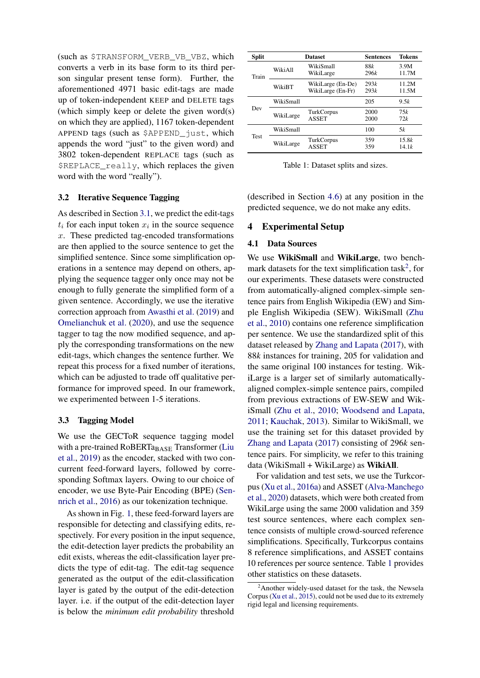(such as \$TRANSFORM\_VERB\_VB\_VBZ, which converts a verb in its base form to its third person singular present tense form). Further, the aforementioned 4971 basic edit-tags are made up of token-independent KEEP and DELETE tags (which simply keep or delete the given word(s) on which they are applied), 1167 token-dependent APPEND tags (such as \$APPEND\_just, which appends the word "just" to the given word) and 3802 token-dependent REPLACE tags (such as \$REPLACE\_really, which replaces the given word with the word "really").

## <span id="page-3-4"></span>3.2 Iterative Sequence Tagging

As described in Section [3.1,](#page-2-0) we predict the edit-tags  $t_i$  for each input token  $x_i$  in the source sequence x. These predicted tag-encoded transformations are then applied to the source sentence to get the simplified sentence. Since some simplification operations in a sentence may depend on others, applying the sequence tagger only once may not be enough to fully generate the simplified form of a given sentence. Accordingly, we use the iterative correction approach from [Awasthi et al.](#page-8-8) [\(2019\)](#page-8-8) and [Omelianchuk et al.](#page-10-11) [\(2020\)](#page-10-11), and use the sequence tagger to tag the now modified sequence, and apply the corresponding transformations on the new edit-tags, which changes the sentence further. We repeat this process for a fixed number of iterations, which can be adjusted to trade off qualitative performance for improved speed. In our framework, we experimented between 1-5 iterations.

## <span id="page-3-2"></span>3.3 Tagging Model

We use the GECToR sequence tagging model with a pre-trained RoBERTa $_{\rm BAGE}$  Transformer [\(Liu](#page-10-12) [et al.,](#page-10-12) [2019\)](#page-10-12) as the encoder, stacked with two concurrent feed-forward layers, followed by corresponding Softmax layers. Owing to our choice of encoder, we use Byte-Pair Encoding (BPE) [\(Sen](#page-11-16)[nrich et al.,](#page-11-16) [2016\)](#page-11-16) as our tokenization technique.

As shown in Fig. [1,](#page-2-1) these feed-forward layers are responsible for detecting and classifying edits, respectively. For every position in the input sequence, the edit-detection layer predicts the probability an edit exists, whereas the edit-classification layer predicts the type of edit-tag. The edit-tag sequence generated as the output of the edit-classification layer is gated by the output of the edit-detection layer. i.e. if the output of the edit-detection layer is below the *minimum edit probability* threshold

<span id="page-3-1"></span>

| Split       |           | <b>Dataset</b>                         | <b>Sentences</b> | <b>Tokens</b>  |
|-------------|-----------|----------------------------------------|------------------|----------------|
| Train       | WikiAll   | WikiSmall<br>WikiLarge                 | 88k<br>296k      | 3.9M<br>11.7M  |
|             | WikiBT    | WikiLarge (En-De)<br>WikiLarge (En-Fr) | 293k<br>293k     | 11.2M<br>11.5M |
| Dev         | WikiSmall |                                        | 205              | 9.5k           |
|             | WikiLarge | TurkCorpus<br><b>ASSET</b>             | 2000<br>2000     | 75k<br>72k     |
| <b>Test</b> | WikiSmall |                                        | 100              | 5k             |
|             | WikiLarge | TurkCorpus<br><b>ASSET</b>             | 359<br>359       | 15.8k<br>14.1k |

Table 1: Dataset splits and sizes.

(described in Section [4.6\)](#page-5-0) at any position in the predicted sequence, we do not make any edits.

# <span id="page-3-3"></span>4 Experimental Setup

#### 4.1 Data Sources

We use WikiSmall and WikiLarge, two bench-mark datasets for the text simplification task<sup>[2](#page-3-0)</sup>, for our experiments. These datasets were constructed from automatically-aligned complex-simple sentence pairs from English Wikipedia (EW) and Simple English Wikipedia (SEW). WikiSmall [\(Zhu](#page-12-1) [et al.,](#page-12-1) [2010\)](#page-12-1) contains one reference simplification per sentence. We use the standardized split of this dataset released by [Zhang and Lapata](#page-12-6) [\(2017\)](#page-12-6), with 88*k* instances for training, 205 for validation and the same original 100 instances for testing. WikiLarge is a larger set of similarly automaticallyaligned complex-simple sentence pairs, compiled from previous extractions of EW-SEW and WikiSmall [\(Zhu et al.,](#page-12-1) [2010;](#page-12-1) [Woodsend and Lapata,](#page-12-8) [2011;](#page-12-8) [Kauchak,](#page-9-15) [2013\)](#page-9-15). Similar to WikiSmall, we use the training set for this dataset provided by [Zhang and Lapata](#page-12-6) [\(2017\)](#page-12-6) consisting of 296*k* sentence pairs. For simplicity, we refer to this training data (WikiSmall + WikiLarge) as WikiAll.

For validation and test sets, we use the Turkcorpus [\(Xu et al.,](#page-12-3) [2016a\)](#page-12-3) and ASSET [\(Alva-Manchego](#page-8-10) [et al.,](#page-8-10) [2020\)](#page-8-10) datasets, which were both created from WikiLarge using the same 2000 validation and 359 test source sentences, where each complex sentence consists of multiple crowd-sourced reference simplifications. Specifically, Turkcorpus contains 8 reference simplifications, and ASSET contains 10 references per source sentence. Table [1](#page-3-1) provides other statistics on these datasets.

<span id="page-3-0"></span> $2A$ nother widely-used dataset for the task, the Newsela Corpus [\(Xu et al.,](#page-12-9) [2015\)](#page-12-9), could not be used due to its extremely rigid legal and licensing requirements.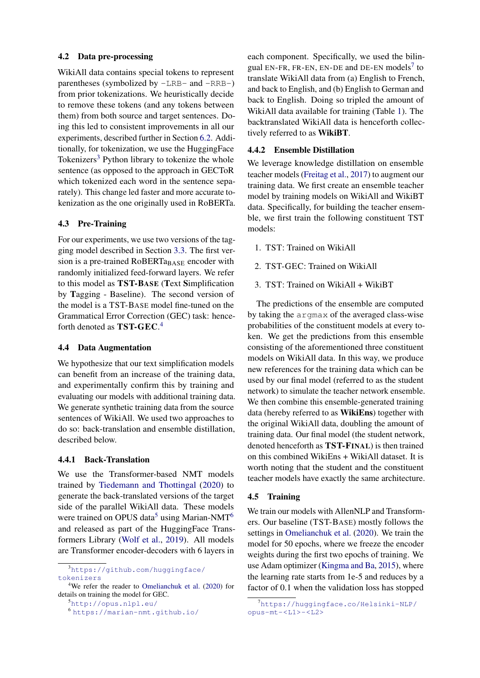## <span id="page-4-6"></span>4.2 Data pre-processing

WikiAll data contains special tokens to represent parentheses (symbolized by -LRB- and -RRB-) from prior tokenizations. We heuristically decide to remove these tokens (and any tokens between them) from both source and target sentences. Doing this led to consistent improvements in all our experiments, described further in Section [6.2.](#page-7-1) Additionally, for tokenization, we use the HuggingFace Tokenizers<sup>[3](#page-4-1)</sup> Python library to tokenize the whole sentence (as opposed to the approach in GECToR which tokenized each word in the sentence separately). This change led faster and more accurate tokenization as the one originally used in RoBERTa.

## <span id="page-4-0"></span>4.3 Pre-Training

For our experiments, we use two versions of the tagging model described in Section [3.3.](#page-3-2) The first version is a pre-trained RoBERT $a_{\text{BASE}}$  encoder with randomly initialized feed-forward layers. We refer to this model as TST-BASE (Text Simplification by Tagging - Baseline). The second version of the model is a TST-BASE model fine-tuned on the Grammatical Error Correction (GEC) task: henceforth denoted as **TST-GEC**.<sup>[4](#page-4-2)</sup>

### 4.4 Data Augmentation

We hypothesize that our text simplification models can benefit from an increase of the training data, and experimentally confirm this by training and evaluating our models with additional training data. We generate synthetic training data from the source sentences of WikiAll. We used two approaches to do so: back-translation and ensemble distillation, described below.

# 4.4.1 Back-Translation

We use the Transformer-based NMT models trained by [Tiedemann and Thottingal](#page-11-17) [\(2020\)](#page-11-17) to generate the back-translated versions of the target side of the parallel WikiAll data. These models were trained on OPUS data<sup>[5](#page-4-3)</sup> using Marian-NMT<sup>[6](#page-4-4)</sup> and released as part of the HuggingFace Transformers Library [\(Wolf et al.,](#page-11-18) [2019\)](#page-11-18). All models are Transformer encoder-decoders with 6 layers in

<span id="page-4-3"></span><sup>5</sup><http://opus.nlpl.eu/>

each component. Specifically, we used the bilin-gual EN-FR, FR-EN, EN-DE and DE-EN models<sup>[7](#page-4-5)</sup> to translate WikiAll data from (a) English to French, and back to English, and (b) English to German and back to English. Doing so tripled the amount of WikiAll data available for training (Table [1\)](#page-3-1). The backtranslated WikiAll data is henceforth collectively referred to as WikiBT.

#### 4.4.2 Ensemble Distillation

We leverage knowledge distillation on ensemble teacher models [\(Freitag et al.,](#page-9-16) [2017\)](#page-9-16) to augment our training data. We first create an ensemble teacher model by training models on WikiAll and WikiBT data. Specifically, for building the teacher ensemble, we first train the following constituent TST models:

- 1. TST: Trained on WikiAll
- 2. TST-GEC: Trained on WikiAll
- 3. TST: Trained on WikiAll + WikiBT

The predictions of the ensemble are computed by taking the argmax of the averaged class-wise probabilities of the constituent models at every token. We get the predictions from this ensemble consisting of the aforementioned three constituent models on WikiAll data. In this way, we produce new references for the training data which can be used by our final model (referred to as the student network) to simulate the teacher network ensemble. We then combine this ensemble-generated training data (hereby referred to as WikiEns) together with the original WikiAll data, doubling the amount of training data. Our final model (the student network, denoted henceforth as TST-FINAL) is then trained on this combined WikiEns + WikiAll dataset. It is worth noting that the student and the constituent teacher models have exactly the same architecture.

## 4.5 Training

We train our models with AllenNLP and Transformers. Our baseline (TST-BASE) mostly follows the settings in [Omelianchuk et al.](#page-10-11) [\(2020\)](#page-10-11). We train the model for 50 epochs, where we freeze the encoder weights during the first two epochs of training. We use Adam optimizer [\(Kingma and Ba,](#page-9-17) [2015\)](#page-9-17), where the learning rate starts from 1e-5 and reduces by a factor of 0.1 when the validation loss has stopped

<span id="page-4-1"></span><sup>3</sup>[https://github.com/huggingface/](https://github.com/huggingface/tokenizers) [tokenizers](https://github.com/huggingface/tokenizers)

<span id="page-4-2"></span><sup>4</sup>We refer the reader to [Omelianchuk et al.](#page-10-11) [\(2020\)](#page-10-11) for details on training the model for GEC.

<span id="page-4-4"></span><sup>6</sup> <https://marian-nmt.github.io/>

<span id="page-4-5"></span><sup>7</sup>[https://huggingface.co/Helsinki-NLP/](https://huggingface.co/Helsinki-NLP/opus-mt-<L1>-<L2>) [opus-mt-<L1>-<L2>](https://huggingface.co/Helsinki-NLP/opus-mt-<L1>-<L2>)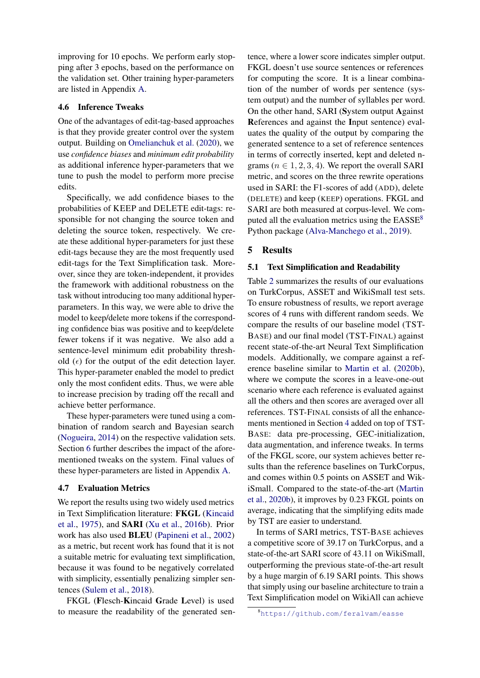improving for 10 epochs. We perform early stopping after 3 epochs, based on the performance on the validation set. Other training hyper-parameters are listed in Appendix [A.](#page-13-0)

### <span id="page-5-0"></span>4.6 Inference Tweaks

One of the advantages of edit-tag-based approaches is that they provide greater control over the system output. Building on [Omelianchuk et al.](#page-10-11) [\(2020\)](#page-10-11), we use *confidence biases* and *minimum edit probability* as additional inference hyper-parameters that we tune to push the model to perform more precise edits.

Specifically, we add confidence biases to the probabilities of KEEP and DELETE edit-tags: responsible for not changing the source token and deleting the source token, respectively. We create these additional hyper-parameters for just these edit-tags because they are the most frequently used edit-tags for the Text Simplification task. Moreover, since they are token-independent, it provides the framework with additional robustness on the task without introducing too many additional hyperparameters. In this way, we were able to drive the model to keep/delete more tokens if the corresponding confidence bias was positive and to keep/delete fewer tokens if it was negative. We also add a sentence-level minimum edit probability threshold  $(\epsilon)$  for the output of the edit detection layer. This hyper-parameter enabled the model to predict only the most confident edits. Thus, we were able to increase precision by trading off the recall and achieve better performance.

These hyper-parameters were tuned using a combination of random search and Bayesian search [\(Nogueira,](#page-10-13) [2014\)](#page-10-13) on the respective validation sets. Section [6](#page-7-2) further describes the impact of the aforementioned tweaks on the system. Final values of these hyper-parameters are listed in Appendix [A.](#page-13-0)

## 4.7 Evaluation Metrics

We report the results using two widely used metrics in Text Simplification literature: FKGL [\(Kincaid](#page-9-18) [et al.,](#page-9-18) [1975\)](#page-9-18), and SARI [\(Xu et al.,](#page-12-10) [2016b\)](#page-12-10). Prior work has also used BLEU [\(Papineni et al.,](#page-10-14) [2002\)](#page-10-14) as a metric, but recent work has found that it is not a suitable metric for evaluating text simplification, because it was found to be negatively correlated with simplicity, essentially penalizing simpler sentences [\(Sulem et al.,](#page-11-19) [2018\)](#page-11-19).

FKGL (Flesch-Kincaid Grade Level) is used to measure the readability of the generated sentence, where a lower score indicates simpler output. FKGL doesn't use source sentences or references for computing the score. It is a linear combination of the number of words per sentence (system output) and the number of syllables per word. On the other hand, SARI (System output Against References and against the Input sentence) evaluates the quality of the output by comparing the generated sentence to a set of reference sentences in terms of correctly inserted, kept and deleted ngrams ( $n \in 1, 2, 3, 4$ ). We report the overall SARI metric, and scores on the three rewrite operations used in SARI: the F1-scores of add (ADD), delete (DELETE) and keep (KEEP) operations. FKGL and SARI are both measured at corpus-level. We computed all the evaluation metrics using the  $EASSE<sup>8</sup>$  $EASSE<sup>8</sup>$  $EASSE<sup>8</sup>$ Python package [\(Alva-Manchego et al.,](#page-8-11) [2019\)](#page-8-11).

#### 5 Results

#### 5.1 Text Simplification and Readability

Table [2](#page-6-0) summarizes the results of our evaluations on TurkCorpus, ASSET and WikiSmall test sets. To ensure robustness of results, we report average scores of 4 runs with different random seeds. We compare the results of our baseline model (TST-BASE) and our final model (TST-FINAL) against recent state-of-the-art Neural Text Simplification models. Additionally, we compare against a reference baseline similar to [Martin et al.](#page-10-15) [\(2020b\)](#page-10-15), where we compute the scores in a leave-one-out scenario where each reference is evaluated against all the others and then scores are averaged over all references. TST-FINAL consists of all the enhancements mentioned in Section [4](#page-3-3) added on top of TST-BASE: data pre-processing, GEC-initialization, data augmentation, and inference tweaks. In terms of the FKGL score, our system achieves better results than the reference baselines on TurkCorpus, and comes within 0.5 points on ASSET and WikiSmall. Compared to the state-of-the-art [\(Martin](#page-10-15) [et al.,](#page-10-15) [2020b\)](#page-10-15), it improves by 0.23 FKGL points on average, indicating that the simplifying edits made by TST are easier to understand.

In terms of SARI metrics, TST-BASE achieves a competitive score of 39.17 on TurkCorpus, and a state-of-the-art SARI score of 43.11 on WikiSmall, outperforming the previous state-of-the-art result by a huge margin of 6.19 SARI points. This shows that simply using our baseline architecture to train a Text Simplification model on WikiAll can achieve

<span id="page-5-1"></span><sup>8</sup><https://github.com/feralvam/easse>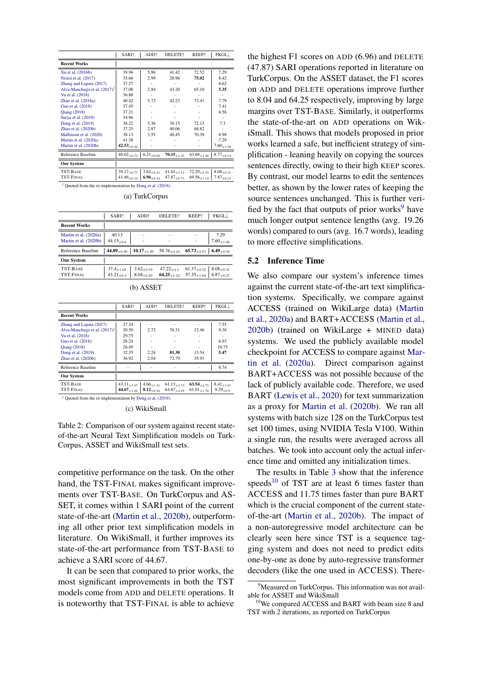<span id="page-6-0"></span>

|                                          | SARI <sup>†</sup>  | ADD <sup>↑</sup>  | <b>DELETE</b> <sup>+</sup> | KEEP <sup>+</sup>  | FKGLĮ             |
|------------------------------------------|--------------------|-------------------|----------------------------|--------------------|-------------------|
| <b>Recent Works</b>                      |                    |                   |                            |                    |                   |
| Xu et al. (2016b)                        | 39.96              | 5.96              | 41.42                      | 72.52              | 7.29              |
| Nisioi et al. (2017)                     | 35.66              | 2.99              | 28.96                      | 75.02              | 8.42              |
| Zhang and Lapata (2017)                  | 37.27              |                   |                            |                    | 6.62              |
| Alva-Manchego et al. $(2017)^{\ddagger}$ | 37.08              | 2.94              | 43.20                      | 65.10              | 5.35              |
| Vu et al. (2018)                         | 36.88              |                   |                            |                    |                   |
| Zhao et al. (2018a)                      | 40.42              | 5.72              | 42.23                      | 73.41              | 7.79              |
| Guo et al. (2018)                        | 37.45              |                   |                            |                    | 7.41              |
| <b>Qiang (2018)</b>                      | 37.21              |                   |                            |                    | 6.56              |
| Surya et al. (2019)                      | 34.96              |                   |                            |                    |                   |
| Dong et al. (2019)                       | 38.22              | 3.36              | 39.15                      | 72.13              | 7.3               |
| Zhao et al. (2020b)                      | 37.25              | 2.87              | 40.06                      | 68.82              |                   |
| Mallinson et al. (2020)                  | 38.13              | 3.55              | 40.45                      | 70.39              | 8.98              |
| Martin et al. (2020a)                    | 41.38              |                   |                            |                    | 7.29              |
| Martin et al. (2020b)                    | $42.53_{\pm 0.36}$ |                   |                            |                    | $7.60_{\pm 1.06}$ |
| Reference Baseline                       | $40.02_{\pm 0.72}$ | $6.21_{\pm 0.60}$ | $70.15_{\pm 1.35}$         | $43.69_{\pm 1.46}$ | $8.77_{\pm0.19}$  |
| <b>Our System</b>                        |                    |                   |                            |                    |                   |
| TST-BASE                                 | $39.17_{\pm 0.77}$ | $3.62_{\pm 0.41}$ | $41.61_{+3.14}$            | $72.29_{+1.45}$    | $8.08_{\pm 0.31}$ |
| <b>TST-FINAL</b>                         | $41.46_{\pm 0.32}$ | $6.96_{\pm 0.44}$ | $47.87_{\pm 0.75}$         | $69.56_{\pm 1.19}$ | $7.87_{\pm 0.19}$ |

 $\frac{1}{2}$  Quoted from the re-implementation by [Dong et al.](#page-9-14) [\(2019\)](#page-9-14).

(a) TurkCorpus

|                                                | <b>SARI</b> <sup>+</sup>               | ADD <sup>+</sup>                       | <b>DELETE</b> <sup>1</sup>        | <b>KEEP</b> <sup>+</sup>                 | FKGLĮ                                 |
|------------------------------------------------|----------------------------------------|----------------------------------------|-----------------------------------|------------------------------------------|---------------------------------------|
| <b>Recent Works</b>                            |                                        |                                        |                                   |                                          |                                       |
| Martin et al. (2020a)<br>Martin et al. (2020b) | 40.13<br>$44.15_{\pm 0.6}$             |                                        |                                   |                                          | 7.29<br>$7.60_{\pm1.06}$              |
| Reference Baseline                             | 44.89 $_{\pm 0.90}$                    | $\textbf{10.17}_{\pm 1.20}$            | $58.76_{\pm 2.24}$                | $65.73_{\pm 2.03}$                       | 6.49 $_{\pm 0.42}$                    |
| <b>Our System</b>                              |                                        |                                        |                                   |                                          |                                       |
| TST-BASE<br>TST-FINAL                          | $37.4_{\pm 1.62}$<br>$43.21_{\pm 0.3}$ | $3.62_{\pm 0.59}$<br>$8.04_{\pm 0.29}$ | $47.22_{+4.5}$<br>$64.25_{+1.22}$ | $61.37_{\pm 0.52}$<br>$57.35_{\pm 1.68}$ | $8.08_{\pm0.31}$<br>$6.87_{\pm 0.27}$ |

|  | $(b)$ ASSET |
|--|-------------|
|--|-------------|

|                                                          | <b>SARI</b> <sup>↑</sup> | ADD <sup>+</sup>  | <b>DELETE</b> <sup>↑</sup> | <b>KEEP</b> <sup>*</sup> | FKGLĮ             |
|----------------------------------------------------------|--------------------------|-------------------|----------------------------|--------------------------|-------------------|
| <b>Recent Works</b>                                      |                          |                   |                            |                          |                   |
| Zhang and Lapata (2017)                                  | 27.24                    |                   |                            |                          | 7.55              |
| Alva-Manchego et al. (2017) <sup>‡</sup>                 | 30.50                    | 2.72              | 76.31                      | 12.46                    | 9.38              |
| Vu et al. (2018)                                         | 29.75                    |                   |                            |                          |                   |
| Guo et al. (2018)                                        | 28.24                    |                   |                            |                          | 6.93              |
| <b>Qiang (2018)</b>                                      | 26.49                    |                   |                            |                          | 10.75             |
| Dong et al. (2019)                                       | 32.35                    | 2.24              | 81.30                      | 13.54                    | 5.47              |
| Zhao et al. (2020b)                                      | 36.92                    | 2.04              | 72.79                      | 35.93                    | ۰                 |
| Reference Baseline                                       |                          |                   |                            |                          | 8.74              |
| <b>Our System</b>                                        |                          |                   |                            |                          |                   |
| TST-BASE                                                 | $43.11_{+1.87}$          | $4.66_{+1.31}$    | $61.13_{+4.73}$            | $63.54_{+2.75}$          | $8.41_{\pm 1.01}$ |
| TST-FINAL                                                | $44.67_{\pm 1.26}$       | $8.12_{\pm 0.92}$ | $64.87_{+2.09}$            | $61.01_{\pm 1.76}$       | $9.29_{\pm 0.9}$  |
| Quoted from the re-implementation by Dong et al. (2019). |                          |                   |                            |                          |                   |

(c) WikiSmall

Table 2: Comparison of our system against recent stateof-the-art Neural Text Simplification models on Turk-Corpus, ASSET and WikiSmall test sets.

competitive performance on the task. On the other hand, the TST-FINAL makes significant improvements over TST-BASE. On TurkCorpus and AS-SET, it comes within 1 SARI point of the current state-of-the-art [\(Martin et al.,](#page-10-15) [2020b\)](#page-10-15), outperforming all other prior text simplification models in literature. On WikiSmall, it further improves its state-of-the-art performance from TST-BASE to achieve a SARI score of 44.67.

It can be seen that compared to prior works, the most significant improvements in both the TST models come from ADD and DELETE operations. It is noteworthy that TST-FINAL is able to achieve

the highest F1 scores on ADD (6.96) and DELETE (47.87) SARI operations reported in literature on TurkCorpus. On the ASSET dataset, the F1 scores on ADD and DELETE operations improve further to 8.04 and 64.25 respectively, improving by large margins over TST-BASE. Similarly, it outperforms the state-of-the-art on ADD operations on WikiSmall. This shows that models proposed in prior works learned a safe, but inefficient strategy of simplification - leaning heavily on copying the sources sentences directly, owing to their high KEEP scores. By contrast, our model learns to edit the sentences better, as shown by the lower rates of keeping the source sentences unchanged. This is further verified by the fact that outputs of prior works $9$  have much longer output sentence lengths (avg. 19.26 words) compared to ours (avg. 16.7 words), leading to more effective simplifications.

## 5.2 Inference Time

We also compare our system's inference times against the current state-of-the-art text simplification systems. Specifically, we compare against ACCESS (trained on WikiLarge data) [\(Martin](#page-10-17) [et al.,](#page-10-17) [2020a\)](#page-10-17) and BART+ACCESS [\(Martin et al.,](#page-10-15) [2020b\)](#page-10-15) (trained on WikiLarge + MINED data) systems. We used the publicly available model checkpoint for ACCESS to compare against [Mar](#page-10-17)[tin et al.](#page-10-17) [\(2020a\)](#page-10-17). Direct comparison against BART+ACCESS was not possible because of the lack of publicly available code. Therefore, we used BART [\(Lewis et al.,](#page-10-18) [2020\)](#page-10-18) for text summarization as a proxy for [Martin et al.](#page-10-15) [\(2020b\)](#page-10-15). We ran all systems with batch size 128 on the TurkCorpus test set 100 times, using NVIDIA Tesla V100. Within a single run, the results were averaged across all batches. We took into account only the actual inference time and omitted any initialization times.

The results in Table [3](#page-7-3) show that the inference speeds<sup>[10](#page-6-2)</sup> of TST are at least 6 times faster than ACCESS and 11.75 times faster than pure BART which is the crucial component of the current stateof-the-art [\(Martin et al.,](#page-10-15) [2020b\)](#page-10-15). The impact of a non-autoregressive model architecture can be clearly seen here since TST is a sequence tagging system and does not need to predict edits one-by-one as done by auto-regressive transformer decoders (like the one used in ACCESS). There-

<span id="page-6-1"></span><sup>&</sup>lt;sup>9</sup>Measured on TurkCorpus. This information was not available for ASSET and WikiSmall

<span id="page-6-2"></span><sup>&</sup>lt;sup>10</sup>We compared ACCESS and BART with beam size 8 and TST with 2 iterations, as reported on TurkCorpus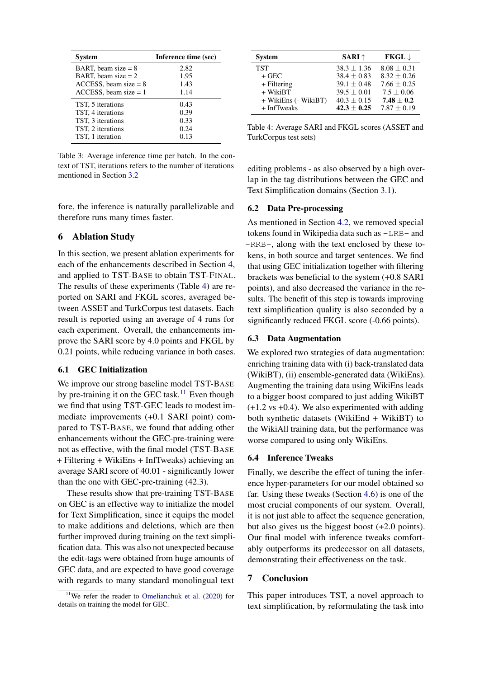<span id="page-7-3"></span>

| <b>System</b>            | Inference time (sec) |
|--------------------------|----------------------|
| BART, beam size $= 8$    | 2.82                 |
| BART, beam size $= 2$    | 1.95                 |
| $ACCESS$ , beam size = 8 | 1.43                 |
| $ACCESS$ , beam size = 1 | 1.14                 |
| TST, 5 iterations        | 0.43                 |
| TST, 4 iterations        | 0.39                 |
| TST, 3 iterations        | 0.33                 |
| TST, 2 iterations        | 0.24                 |
| TST, 1 iteration         | 0.13                 |

Table 3: Average inference time per batch. In the context of TST, iterations refers to the number of iterations mentioned in Section [3.2](#page-3-4)

fore, the inference is naturally parallelizable and therefore runs many times faster.

## <span id="page-7-2"></span>6 Ablation Study

In this section, we present ablation experiments for each of the enhancements described in Section [4,](#page-3-3) and applied to TST-BASE to obtain TST-FINAL. The results of these experiments (Table [4\)](#page-7-4) are reported on SARI and FKGL scores, averaged between ASSET and TurkCorpus test datasets. Each result is reported using an average of 4 runs for each experiment. Overall, the enhancements improve the SARI score by 4.0 points and FKGL by 0.21 points, while reducing variance in both cases.

## <span id="page-7-0"></span>6.1 GEC Initialization

We improve our strong baseline model TST-BASE by pre-training it on the GEC task.<sup>[11](#page-7-5)</sup> Even though we find that using TST-GEC leads to modest immediate improvements (+0.1 SARI point) compared to TST-BASE, we found that adding other enhancements without the GEC-pre-training were not as effective, with the final model (TST-BASE + Filtering + WikiEns + InfTweaks) achieving an average SARI score of 40.01 - significantly lower than the one with GEC-pre-training (42.3).

These results show that pre-training TST-BASE on GEC is an effective way to initialize the model for Text Simplification, since it equips the model to make additions and deletions, which are then further improved during training on the text simplification data. This was also not unexpected because the edit-tags were obtained from huge amounts of GEC data, and are expected to have good coverage with regards to many standard monolingual text

<span id="page-7-4"></span>

| <b>System</b>        | <b>SARI</b> $\uparrow$ | $FKGL \downarrow$ |
|----------------------|------------------------|-------------------|
| <b>TST</b>           | $38.3 + 1.36$          | $8.08 + 0.31$     |
| $+$ GEC              | $38.4 \pm 0.83$        | $8.32 + 0.26$     |
| $+$ Filtering        | $39.1 + 0.48$          | $7.66 + 0.25$     |
| $+$ WikiBT           | $39.5 + 0.01$          | $7.5 \pm 0.06$    |
| + WikiEns (- WikiBT) | $40.3 + 0.15$          | $7.48 + 0.2$      |
| + InfTweaks          | $42.3 + 0.25$          | $7.87 \pm 0.19$   |

Table 4: Average SARI and FKGL scores (ASSET and TurkCorpus test sets)

editing problems - as also observed by a high overlap in the tag distributions between the GEC and Text Simplification domains (Section [3.1\)](#page-2-0).

## <span id="page-7-1"></span>6.2 Data Pre-processing

As mentioned in Section [4.2,](#page-4-6) we removed special tokens found in Wikipedia data such as -LRB- and -RRB-, along with the text enclosed by these tokens, in both source and target sentences. We find that using GEC initialization together with filtering brackets was beneficial to the system (+0.8 SARI points), and also decreased the variance in the results. The benefit of this step is towards improving text simplification quality is also seconded by a significantly reduced FKGL score (-0.66 points).

# 6.3 Data Augmentation

We explored two strategies of data augmentation: enriching training data with (i) back-translated data (WikiBT), (ii) ensemble-generated data (WikiEns). Augmenting the training data using WikiEns leads to a bigger boost compared to just adding WikiBT (+1.2 vs +0.4). We also experimented with adding both synthetic datasets (WikiEnd + WikiBT) to the WikiAll training data, but the performance was worse compared to using only WikiEns.

#### 6.4 Inference Tweaks

Finally, we describe the effect of tuning the inference hyper-parameters for our model obtained so far. Using these tweaks (Section [4.6\)](#page-5-0) is one of the most crucial components of our system. Overall, it is not just able to affect the sequence generation, but also gives us the biggest boost (+2.0 points). Our final model with inference tweaks comfortably outperforms its predecessor on all datasets, demonstrating their effectiveness on the task.

## 7 Conclusion

This paper introduces TST, a novel approach to text simplification, by reformulating the task into

<span id="page-7-5"></span><sup>11</sup>We refer the reader to [Omelianchuk et al.](#page-10-11) [\(2020\)](#page-10-11) for details on training the model for GEC.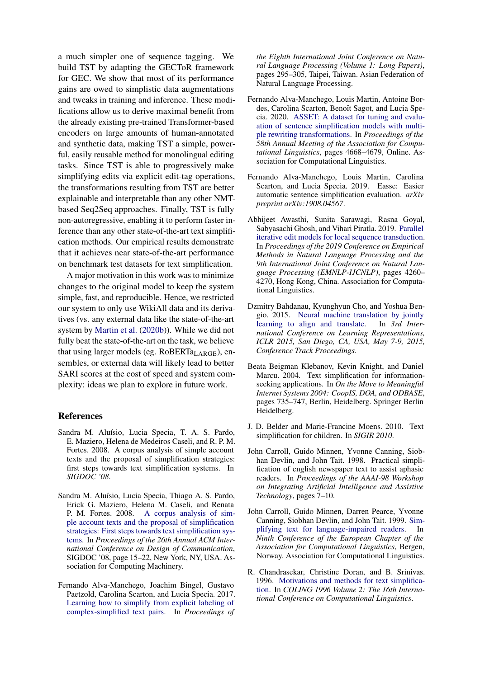a much simpler one of sequence tagging. We build TST by adapting the GECToR framework for GEC. We show that most of its performance gains are owed to simplistic data augmentations and tweaks in training and inference. These modifications allow us to derive maximal benefit from the already existing pre-trained Transformer-based encoders on large amounts of human-annotated and synthetic data, making TST a simple, powerful, easily reusable method for monolingual editing tasks. Since TST is able to progressively make simplifying edits via explicit edit-tag operations, the transformations resulting from TST are better explainable and interpretable than any other NMTbased Seq2Seq approaches. Finally, TST is fully non-autoregressive, enabling it to perform faster inference than any other state-of-the-art text simplification methods. Our empirical results demonstrate that it achieves near state-of-the-art performance on benchmark test datasets for text simplification.

A major motivation in this work was to minimize changes to the original model to keep the system simple, fast, and reproducible. Hence, we restricted our system to only use WikiAll data and its derivatives (vs. any external data like the state-of-the-art system by [Martin et al.](#page-10-15) [\(2020b\)](#page-10-15)). While we did not fully beat the state-of-the-art on the task, we believe that using larger models (eg.  $RoBERTa<sub>LARGE</sub>$ ), ensembles, or external data will likely lead to better SARI scores at the cost of speed and system complexity: ideas we plan to explore in future work.

## References

- <span id="page-8-7"></span>Sandra M. Aluísio, Lucia Specia, T. A. S. Pardo, E. Maziero, Helena de Medeiros Caseli, and R. P. M. Fortes. 2008. A corpus analysis of simple account texts and the proposal of simplification strategies: first steps towards text simplification systems. In *SIGDOC '08*.
- <span id="page-8-3"></span>Sandra M. Aluísio, Lucia Specia, Thiago A. S. Pardo, Erick G. Maziero, Helena M. Caseli, and Renata P. M. Fortes. 2008. [A corpus analysis of sim](https://doi.org/10.1145/1456536.1456540)[ple account texts and the proposal of simplification](https://doi.org/10.1145/1456536.1456540) [strategies: First steps towards text simplification sys](https://doi.org/10.1145/1456536.1456540)[tems.](https://doi.org/10.1145/1456536.1456540) In *Proceedings of the 26th Annual ACM International Conference on Design of Communication*, SIGDOC '08, page 15–22, New York, NY, USA. Association for Computing Machinery.
- <span id="page-8-9"></span>Fernando Alva-Manchego, Joachim Bingel, Gustavo Paetzold, Carolina Scarton, and Lucia Specia. 2017. [Learning how to simplify from explicit labeling of](https://www.aclweb.org/anthology/I17-1030) [complex-simplified text pairs.](https://www.aclweb.org/anthology/I17-1030) In *Proceedings of*

*the Eighth International Joint Conference on Natural Language Processing (Volume 1: Long Papers)*, pages 295–305, Taipei, Taiwan. Asian Federation of Natural Language Processing.

- <span id="page-8-10"></span>Fernando Alva-Manchego, Louis Martin, Antoine Bordes, Carolina Scarton, Benoît Sagot, and Lucia Specia. 2020. [ASSET: A dataset for tuning and evalu](https://doi.org/10.18653/v1/2020.acl-main.424)[ation of sentence simplification models with multi](https://doi.org/10.18653/v1/2020.acl-main.424)[ple rewriting transformations.](https://doi.org/10.18653/v1/2020.acl-main.424) In *Proceedings of the 58th Annual Meeting of the Association for Computational Linguistics*, pages 4668–4679, Online. Association for Computational Linguistics.
- <span id="page-8-11"></span>Fernando Alva-Manchego, Louis Martin, Carolina Scarton, and Lucia Specia. 2019. Easse: Easier automatic sentence simplification evaluation. *arXiv preprint arXiv:1908.04567*.
- <span id="page-8-8"></span>Abhijeet Awasthi, Sunita Sarawagi, Rasna Goyal, Sabyasachi Ghosh, and Vihari Piratla. 2019. [Parallel](https://doi.org/10.18653/v1/D19-1435) [iterative edit models for local sequence transduction.](https://doi.org/10.18653/v1/D19-1435) In *Proceedings of the 2019 Conference on Empirical Methods in Natural Language Processing and the 9th International Joint Conference on Natural Language Processing (EMNLP-IJCNLP)*, pages 4260– 4270, Hong Kong, China. Association for Computational Linguistics.
- <span id="page-8-6"></span>Dzmitry Bahdanau, Kyunghyun Cho, and Yoshua Bengio. 2015. [Neural machine translation by jointly](http://arxiv.org/abs/1409.0473) [learning to align and translate.](http://arxiv.org/abs/1409.0473) In *3rd International Conference on Learning Representations, ICLR 2015, San Diego, CA, USA, May 7-9, 2015, Conference Track Proceedings*.
- <span id="page-8-5"></span>Beata Beigman Klebanov, Kevin Knight, and Daniel Marcu. 2004. Text simplification for informationseeking applications. In *On the Move to Meaningful Internet Systems 2004: CoopIS, DOA, and ODBASE*, pages 735–747, Berlin, Heidelberg. Springer Berlin Heidelberg.
- <span id="page-8-0"></span>J. D. Belder and Marie-Francine Moens. 2010. Text simplification for children. In *SIGIR 2010*.
- <span id="page-8-1"></span>John Carroll, Guido Minnen, Yvonne Canning, Siobhan Devlin, and John Tait. 1998. Practical simplification of english newspaper text to assist aphasic readers. In *Proceedings of the AAAI-98 Workshop on Integrating Artificial Intelligence and Assistive Technology*, pages 7–10.
- <span id="page-8-2"></span>John Carroll, Guido Minnen, Darren Pearce, Yvonne Canning, Siobhan Devlin, and John Tait. 1999. [Sim](https://www.aclweb.org/anthology/E99-1042)[plifying text for language-impaired readers.](https://www.aclweb.org/anthology/E99-1042) In *Ninth Conference of the European Chapter of the Association for Computational Linguistics*, Bergen, Norway. Association for Computational Linguistics.
- <span id="page-8-4"></span>R. Chandrasekar, Christine Doran, and B. Srinivas. 1996. [Motivations and methods for text simplifica](https://www.aclweb.org/anthology/C96-2183)[tion.](https://www.aclweb.org/anthology/C96-2183) In *COLING 1996 Volume 2: The 16th International Conference on Computational Linguistics*.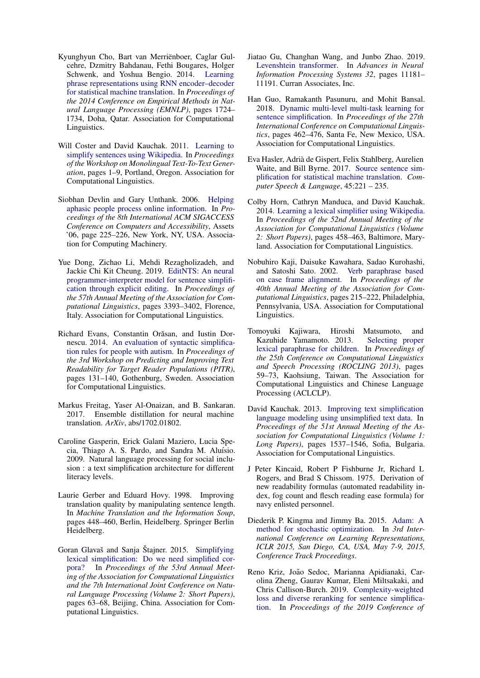- <span id="page-9-10"></span>Kyunghyun Cho, Bart van Merriënboer, Caglar Gulcehre, Dzmitry Bahdanau, Fethi Bougares, Holger Schwenk, and Yoshua Bengio. 2014. [Learning](https://doi.org/10.3115/v1/D14-1179) [phrase representations using RNN encoder–decoder](https://doi.org/10.3115/v1/D14-1179) [for statistical machine translation.](https://doi.org/10.3115/v1/D14-1179) In *Proceedings of the 2014 Conference on Empirical Methods in Natural Language Processing (EMNLP)*, pages 1724– 1734, Doha, Qatar. Association for Computational Linguistics.
- <span id="page-9-9"></span>Will Coster and David Kauchak. 2011. [Learning to](https://www.aclweb.org/anthology/W11-1601) [simplify sentences using Wikipedia.](https://www.aclweb.org/anthology/W11-1601) In *Proceedings of the Workshop on Monolingual Text-To-Text Generation*, pages 1–9, Portland, Oregon. Association for Computational Linguistics.
- <span id="page-9-1"></span>Siobhan Devlin and Gary Unthank. 2006. [Helping](https://doi.org/10.1145/1168987.1169027) [aphasic people process online information.](https://doi.org/10.1145/1168987.1169027) In *Proceedings of the 8th International ACM SIGACCESS Conference on Computers and Accessibility*, Assets '06, page 225–226, New York, NY, USA. Association for Computing Machinery.
- <span id="page-9-14"></span>Yue Dong, Zichao Li, Mehdi Rezagholizadeh, and Jackie Chi Kit Cheung. 2019. [EditNTS: An neural](https://doi.org/10.18653/v1/P19-1331) [programmer-interpreter model for sentence simplifi](https://doi.org/10.18653/v1/P19-1331)[cation through explicit editing.](https://doi.org/10.18653/v1/P19-1331) In *Proceedings of the 57th Annual Meeting of the Association for Computational Linguistics*, pages 3393–3402, Florence, Italy. Association for Computational Linguistics.
- <span id="page-9-2"></span>Richard Evans, Constantin Orăsan, and Iustin Dornescu. 2014. [An evaluation of syntactic simplifica](https://doi.org/10.3115/v1/W14-1215)[tion rules for people with autism.](https://doi.org/10.3115/v1/W14-1215) In *Proceedings of the 3rd Workshop on Predicting and Improving Text Readability for Target Reader Populations (PITR)*, pages 131–140, Gothenburg, Sweden. Association for Computational Linguistics.
- <span id="page-9-16"></span>Markus Freitag, Yaser Al-Onaizan, and B. Sankaran. 2017. Ensemble distillation for neural machine translation. *ArXiv*, abs/1702.01802.
- <span id="page-9-3"></span>Caroline Gasperin, Erick Galani Maziero, Lucia Specia, Thiago A. S. Pardo, and Sandra M. Aluísio. 2009. Natural language processing for social inclusion : a text simplification architecture for different literacy levels.
- <span id="page-9-4"></span>Laurie Gerber and Eduard Hovy. 1998. Improving translation quality by manipulating sentence length. In *Machine Translation and the Information Soup*, pages 448–460, Berlin, Heidelberg. Springer Berlin Heidelberg.
- <span id="page-9-8"></span>Goran Glavaš and Sanja Štajner. 2015. [Simplifying](https://doi.org/10.3115/v1/P15-2011) [lexical simplification: Do we need simplified cor](https://doi.org/10.3115/v1/P15-2011)[pora?](https://doi.org/10.3115/v1/P15-2011) In *Proceedings of the 53rd Annual Meeting of the Association for Computational Linguistics and the 7th International Joint Conference on Natural Language Processing (Volume 2: Short Papers)*, pages 63–68, Beijing, China. Association for Computational Linguistics.
- <span id="page-9-13"></span>Jiatao Gu, Changhan Wang, and Junbo Zhao. 2019. [Levenshtein transformer.](http://papers.nips.cc/paper/9297-levenshtein-transformer.pdf) In *Advances in Neural Information Processing Systems 32*, pages 11181– 11191. Curran Associates, Inc.
- <span id="page-9-11"></span>Han Guo, Ramakanth Pasunuru, and Mohit Bansal. 2018. [Dynamic multi-level multi-task learning for](https://www.aclweb.org/anthology/C18-1039) [sentence simplification.](https://www.aclweb.org/anthology/C18-1039) In *Proceedings of the 27th International Conference on Computational Linguistics*, pages 462–476, Santa Fe, New Mexico, USA. Association for Computational Linguistics.
- <span id="page-9-5"></span>Eva Hasler, Adria de Gispert, Felix Stahlberg, Aurelien ` Waite, and Bill Byrne. 2017. [Source sentence sim](https://doi.org/https://doi.org/10.1016/j.csl.2016.12.001)[plification for statistical machine translation.](https://doi.org/https://doi.org/10.1016/j.csl.2016.12.001) *Computer Speech & Language*, 45:221 – 235.
- <span id="page-9-7"></span>Colby Horn, Cathryn Manduca, and David Kauchak. 2014. [Learning a lexical simplifier using Wikipedia.](https://doi.org/10.3115/v1/P14-2075) In *Proceedings of the 52nd Annual Meeting of the Association for Computational Linguistics (Volume 2: Short Papers)*, pages 458–463, Baltimore, Maryland. Association for Computational Linguistics.
- <span id="page-9-6"></span>Nobuhiro Kaji, Daisuke Kawahara, Sadao Kurohashi, and Satoshi Sato. 2002. [Verb paraphrase based](https://doi.org/10.3115/1073083.1073120) [on case frame alignment.](https://doi.org/10.3115/1073083.1073120) In *Proceedings of the 40th Annual Meeting of the Association for Computational Linguistics*, pages 215–222, Philadelphia, Pennsylvania, USA. Association for Computational Linguistics.
- <span id="page-9-0"></span>Tomoyuki Kajiwara, Hiroshi Matsumoto, and Kazuhide Yamamoto. 2013. [Selecting proper](https://www.aclweb.org/anthology/O13-1007) [lexical paraphrase for children.](https://www.aclweb.org/anthology/O13-1007) In *Proceedings of the 25th Conference on Computational Linguistics and Speech Processing (ROCLING 2013)*, pages 59–73, Kaohsiung, Taiwan. The Association for Computational Linguistics and Chinese Language Processing (ACLCLP).
- <span id="page-9-15"></span>David Kauchak. 2013. [Improving text simplification](https://www.aclweb.org/anthology/P13-1151) [language modeling using unsimplified text data.](https://www.aclweb.org/anthology/P13-1151) In *Proceedings of the 51st Annual Meeting of the Association for Computational Linguistics (Volume 1: Long Papers)*, pages 1537–1546, Sofia, Bulgaria. Association for Computational Linguistics.
- <span id="page-9-18"></span>J Peter Kincaid, Robert P Fishburne Jr, Richard L Rogers, and Brad S Chissom. 1975. Derivation of new readability formulas (automated readability index, fog count and flesch reading ease formula) for navy enlisted personnel.
- <span id="page-9-17"></span>Diederik P. Kingma and Jimmy Ba. 2015. [Adam: A](http://arxiv.org/abs/1412.6980) [method for stochastic optimization.](http://arxiv.org/abs/1412.6980) In *3rd International Conference on Learning Representations, ICLR 2015, San Diego, CA, USA, May 7-9, 2015, Conference Track Proceedings*.
- <span id="page-9-12"></span>Reno Kriz, João Sedoc, Marianna Apidianaki, Carolina Zheng, Gaurav Kumar, Eleni Miltsakaki, and Chris Callison-Burch. 2019. [Complexity-weighted](https://doi.org/10.18653/v1/N19-1317) [loss and diverse reranking for sentence simplifica](https://doi.org/10.18653/v1/N19-1317)[tion.](https://doi.org/10.18653/v1/N19-1317) In *Proceedings of the 2019 Conference of*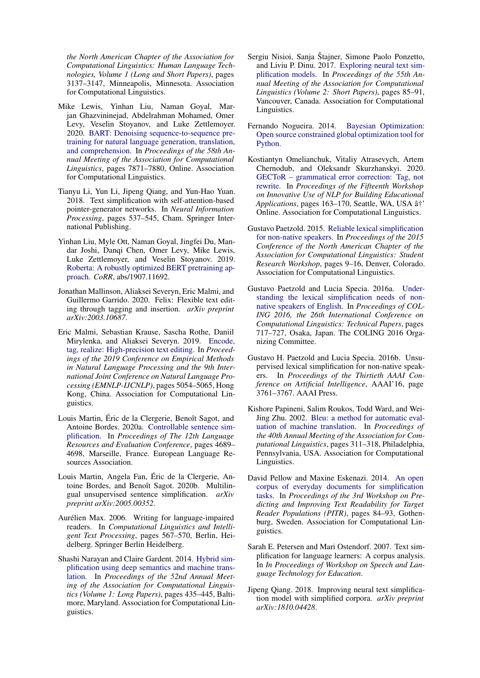*the North American Chapter of the Association for Computational Linguistics: Human Language Technologies, Volume 1 (Long and Short Papers)*, pages 3137–3147, Minneapolis, Minnesota. Association for Computational Linguistics.

- <span id="page-10-18"></span>Mike Lewis, Yinhan Liu, Naman Goyal, Marjan Ghazvininejad, Abdelrahman Mohamed, Omer Levy, Veselin Stoyanov, and Luke Zettlemoyer. 2020. [BART: Denoising sequence-to-sequence pre](https://doi.org/10.18653/v1/2020.acl-main.703)[training for natural language generation, translation,](https://doi.org/10.18653/v1/2020.acl-main.703) [and comprehension.](https://doi.org/10.18653/v1/2020.acl-main.703) In *Proceedings of the 58th Annual Meeting of the Association for Computational Linguistics*, pages 7871–7880, Online. Association for Computational Linguistics.
- <span id="page-10-8"></span>Tianyu Li, Yun Li, Jipeng Qiang, and Yun-Hao Yuan. 2018. Text simplification with self-attention-based pointer-generator networks. In *Neural Information Processing*, pages 537–545, Cham. Springer International Publishing.
- <span id="page-10-12"></span>Yinhan Liu, Myle Ott, Naman Goyal, Jingfei Du, Mandar Joshi, Danqi Chen, Omer Levy, Mike Lewis, Luke Zettlemoyer, and Veselin Stoyanov. 2019. [Roberta: A robustly optimized BERT pretraining ap](http://arxiv.org/abs/1907.11692)[proach.](http://arxiv.org/abs/1907.11692) *CoRR*, abs/1907.11692.
- <span id="page-10-9"></span>Jonathan Mallinson, Aliaksei Severyn, Eric Malmi, and Guillermo Garrido. 2020. Felix: Flexible text editing through tagging and insertion. *arXiv preprint arXiv:2003.10687*.
- <span id="page-10-10"></span>Eric Malmi, Sebastian Krause, Sascha Rothe, Daniil Mirylenka, and Aliaksei Severyn. 2019. [Encode,](https://doi.org/10.18653/v1/D19-1510) [tag, realize: High-precision text editing.](https://doi.org/10.18653/v1/D19-1510) In *Proceedings of the 2019 Conference on Empirical Methods in Natural Language Processing and the 9th International Joint Conference on Natural Language Processing (EMNLP-IJCNLP)*, pages 5054–5065, Hong Kong, China. Association for Computational Linguistics.
- <span id="page-10-17"></span>Louis Martin, Éric de la Clergerie, Benoît Sagot, and Antoine Bordes. 2020a. [Controllable sentence sim](https://www.aclweb.org/anthology/2020.lrec-1.577)[plification.](https://www.aclweb.org/anthology/2020.lrec-1.577) In *Proceedings of The 12th Language Resources and Evaluation Conference*, pages 4689– 4698, Marseille, France. European Language Resources Association.
- <span id="page-10-15"></span>Louis Martin, Angela Fan, Eric de la Clergerie, An- ´ toine Bordes, and Benoît Sagot. 2020b. Multilingual unsupervised sentence simplification. *arXiv preprint arXiv:2005.00352*.
- <span id="page-10-5"></span>Aurélien Max. 2006. Writing for language-impaired readers. In *Computational Linguistics and Intelligent Text Processing*, pages 567–570, Berlin, Heidelberg. Springer Berlin Heidelberg.
- <span id="page-10-6"></span>Shashi Narayan and Claire Gardent. 2014. [Hybrid sim](https://doi.org/10.3115/v1/P14-1041)[plification using deep semantics and machine trans](https://doi.org/10.3115/v1/P14-1041)[lation.](https://doi.org/10.3115/v1/P14-1041) In *Proceedings of the 52nd Annual Meeting of the Association for Computational Linguistics (Volume 1: Long Papers)*, pages 435–445, Baltimore, Maryland. Association for Computational Linguistics.
- <span id="page-10-7"></span>Sergiu Nisioi, Sanja Štajner, Simone Paolo Ponzetto, and Liviu P. Dinu. 2017. [Exploring neural text sim](https://doi.org/10.18653/v1/P17-2014)[plification models.](https://doi.org/10.18653/v1/P17-2014) In *Proceedings of the 55th Annual Meeting of the Association for Computational Linguistics (Volume 2: Short Papers)*, pages 85–91, Vancouver, Canada. Association for Computational Linguistics.
- <span id="page-10-13"></span>Fernando Nogueira. 2014. [Bayesian Optimization:](https://github.com/fmfn/BayesianOptimization) [Open source constrained global optimization tool for](https://github.com/fmfn/BayesianOptimization) [Python.](https://github.com/fmfn/BayesianOptimization)
- <span id="page-10-11"></span>Kostiantyn Omelianchuk, Vitaliy Atrasevych, Artem Chernodub, and Oleksandr Skurzhanskyi. 2020. [GECToR – grammatical error correction: Tag, not](https://doi.org/10.18653/v1/2020.bea-1.16) [rewrite.](https://doi.org/10.18653/v1/2020.bea-1.16) In *Proceedings of the Fifteenth Workshop on Innovative Use of NLP for Building Educational Applications*, pages 163–170, Seattle, WA, USA a†' ˆ Online. Association for Computational Linguistics.
- <span id="page-10-1"></span>Gustavo Paetzold. 2015. [Reliable lexical simplification](https://doi.org/10.3115/v1/N15-2002) [for non-native speakers.](https://doi.org/10.3115/v1/N15-2002) In *Proceedings of the 2015 Conference of the North American Chapter of the Association for Computational Linguistics: Student Research Workshop*, pages 9–16, Denver, Colorado. Association for Computational Linguistics.
- <span id="page-10-2"></span>Gustavo Paetzold and Lucia Specia. 2016a. [Under](https://www.aclweb.org/anthology/C16-1069)[standing the lexical simplification needs of non](https://www.aclweb.org/anthology/C16-1069)[native speakers of English.](https://www.aclweb.org/anthology/C16-1069) In *Proceedings of COL-ING 2016, the 26th International Conference on Computational Linguistics: Technical Papers*, pages 717–727, Osaka, Japan. The COLING 2016 Organizing Committee.
- <span id="page-10-3"></span>Gustavo H. Paetzold and Lucia Specia. 2016b. Unsupervised lexical simplification for non-native speakers. In *Proceedings of the Thirtieth AAAI Conference on Artificial Intelligence*, AAAI'16, page 3761–3767. AAAI Press.
- <span id="page-10-14"></span>Kishore Papineni, Salim Roukos, Todd Ward, and Wei-Jing Zhu. 2002. [Bleu: a method for automatic eval](https://doi.org/10.3115/1073083.1073135)[uation of machine translation.](https://doi.org/10.3115/1073083.1073135) In *Proceedings of the 40th Annual Meeting of the Association for Computational Linguistics*, pages 311–318, Philadelphia, Pennsylvania, USA. Association for Computational Linguistics.
- <span id="page-10-4"></span>David Pellow and Maxine Eskenazi. 2014. [An open](https://doi.org/10.3115/v1/W14-1210) [corpus of everyday documents for simplification](https://doi.org/10.3115/v1/W14-1210) [tasks.](https://doi.org/10.3115/v1/W14-1210) In *Proceedings of the 3rd Workshop on Predicting and Improving Text Readability for Target Reader Populations (PITR)*, pages 84–93, Gothenburg, Sweden. Association for Computational Linguistics.
- <span id="page-10-0"></span>Sarah E. Petersen and Mari Ostendorf. 2007. Text simplification for language learners: A corpus analysis. In *In Proceedings of Workshop on Speech and Language Technology for Education*.
- <span id="page-10-16"></span>Jipeng Qiang. 2018. Improving neural text simplification model with simplified corpora. *arXiv preprint arXiv:1810.04428*.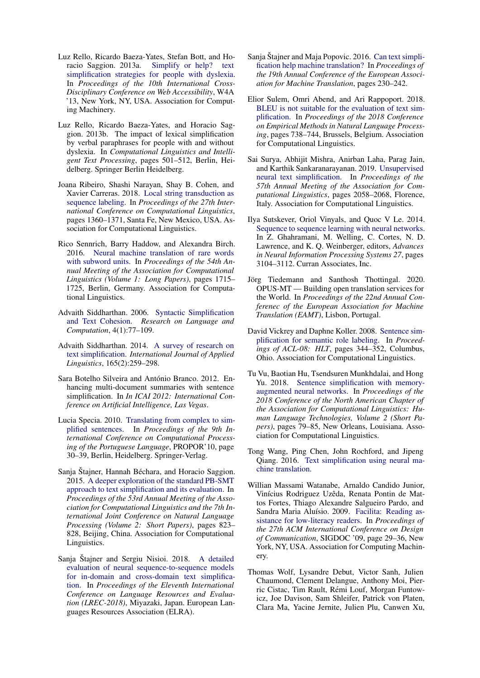- <span id="page-11-0"></span>Luz Rello, Ricardo Baeza-Yates, Stefan Bott, and Horacio Saggion. 2013a. [Simplify or help? text](https://doi.org/10.1145/2461121.2461126) [simplification strategies for people with dyslexia.](https://doi.org/10.1145/2461121.2461126) In *Proceedings of the 10th International Cross-Disciplinary Conference on Web Accessibility*, W4A '13, New York, NY, USA. Association for Computing Machinery.
- <span id="page-11-1"></span>Luz Rello, Ricardo Baeza-Yates, and Horacio Saggion. 2013b. The impact of lexical simplification by verbal paraphrases for people with and without dyslexia. In *Computational Linguistics and Intelligent Text Processing*, pages 501–512, Berlin, Heidelberg. Springer Berlin Heidelberg.
- <span id="page-11-15"></span>Joana Ribeiro, Shashi Narayan, Shay B. Cohen, and Xavier Carreras. 2018. [Local string transduction as](https://www.aclweb.org/anthology/C18-1115) [sequence labeling.](https://www.aclweb.org/anthology/C18-1115) In *Proceedings of the 27th International Conference on Computational Linguistics*, pages 1360–1371, Santa Fe, New Mexico, USA. Association for Computational Linguistics.
- <span id="page-11-16"></span>Rico Sennrich, Barry Haddow, and Alexandra Birch. 2016. [Neural machine translation of rare words](https://doi.org/10.18653/v1/P16-1162) [with subword units.](https://doi.org/10.18653/v1/P16-1162) In *Proceedings of the 54th Annual Meeting of the Association for Computational Linguistics (Volume 1: Long Papers)*, pages 1715– 1725, Berlin, Germany. Association for Computational Linguistics.
- <span id="page-11-6"></span>Advaith Siddharthan. 2006. [Syntactic Simplification](https://doi.org/10.1007/s11168-006-9011-1) [and Text Cohesion.](https://doi.org/10.1007/s11168-006-9011-1) *Research on Language and Computation*, 4(1):77–109.
- <span id="page-11-7"></span>Advaith Siddharthan. 2014. [A survey of research on](http://oro.open.ac.uk/58886/) [text simplification.](http://oro.open.ac.uk/58886/) *International Journal of Applied Linguistics*, 165(2):259–298.
- <span id="page-11-3"></span>Sara Botelho Silveira and António Branco. 2012. Enhancing multi-document summaries with sentence simplification. In *In ICAI 2012: International Conference on Artificial Intelligence, Las Vegas*.
- <span id="page-11-8"></span>Lucia Specia. 2010. [Translating from complex to sim](https://doi.org/10.1007/978-3-642-12320-7_5)[plified sentences.](https://doi.org/10.1007/978-3-642-12320-7_5) In *Proceedings of the 9th International Conference on Computational Processing of the Portuguese Language*, PROPOR'10, page 30–39, Berlin, Heidelberg. Springer-Verlag.
- <span id="page-11-9"></span>Sanja Štajner, Hannah Béchara, and Horacio Saggion. 2015. [A deeper exploration of the standard PB-SMT](https://doi.org/10.3115/v1/P15-2135) [approach to text simplification and its evaluation.](https://doi.org/10.3115/v1/P15-2135) In *Proceedings of the 53rd Annual Meeting of the Association for Computational Linguistics and the 7th International Joint Conference on Natural Language Processing (Volume 2: Short Papers)*, pages 823– 828, Beijing, China. Association for Computational Linguistics.
- <span id="page-11-12"></span>Sanja Štajner and Sergiu Nisioi. 2018. [A detailed](https://www.aclweb.org/anthology/L18-1479) [evaluation of neural sequence-to-sequence models](https://www.aclweb.org/anthology/L18-1479) [for in-domain and cross-domain text simplifica](https://www.aclweb.org/anthology/L18-1479)[tion.](https://www.aclweb.org/anthology/L18-1479) In *Proceedings of the Eleventh International Conference on Language Resources and Evaluation (LREC-2018)*, Miyazaki, Japan. European Languages Resources Association (ELRA).
- <span id="page-11-5"></span>Sanja Štajner and Maja Popovic. 2016. [Can text simpli](https://www.aclweb.org/anthology/W16-3411)[fication help machine translation?](https://www.aclweb.org/anthology/W16-3411) In *Proceedings of the 19th Annual Conference of the European Association for Machine Translation*, pages 230–242.
- <span id="page-11-19"></span>Elior Sulem, Omri Abend, and Ari Rappoport. 2018. [BLEU is not suitable for the evaluation of text sim](https://doi.org/10.18653/v1/D18-1081)[plification.](https://doi.org/10.18653/v1/D18-1081) In *Proceedings of the 2018 Conference on Empirical Methods in Natural Language Processing*, pages 738–744, Brussels, Belgium. Association for Computational Linguistics.
- <span id="page-11-14"></span>Sai Surya, Abhijit Mishra, Anirban Laha, Parag Jain, and Karthik Sankaranarayanan. 2019. [Unsupervised](https://doi.org/10.18653/v1/P19-1198) [neural text simplification.](https://doi.org/10.18653/v1/P19-1198) In *Proceedings of the 57th Annual Meeting of the Association for Computational Linguistics*, pages 2058–2068, Florence, Italy. Association for Computational Linguistics.
- <span id="page-11-10"></span>Ilya Sutskever, Oriol Vinyals, and Quoc V Le. 2014. [Sequence to sequence learning with neural networks.](http://papers.nips.cc/paper/5346-sequence-to-sequence-learning-with-neural-networks.pdf) In Z. Ghahramani, M. Welling, C. Cortes, N. D. Lawrence, and K. Q. Weinberger, editors, *Advances in Neural Information Processing Systems 27*, pages 3104–3112. Curran Associates, Inc.
- <span id="page-11-17"></span>Jörg Tiedemann and Santhosh Thottingal. 2020. OPUS-MT — Building open translation services for the World. In *Proceedings of the 22nd Annual Conferenec of the European Association for Machine Translation (EAMT)*, Lisbon, Portugal.
- <span id="page-11-4"></span>David Vickrey and Daphne Koller. 2008. [Sentence sim](https://www.aclweb.org/anthology/P08-1040)[plification for semantic role labeling.](https://www.aclweb.org/anthology/P08-1040) In *Proceedings of ACL-08: HLT*, pages 344–352, Columbus, Ohio. Association for Computational Linguistics.
- <span id="page-11-13"></span>Tu Vu, Baotian Hu, Tsendsuren Munkhdalai, and Hong Yu. 2018. [Sentence simplification with memory](https://doi.org/10.18653/v1/N18-2013)[augmented neural networks.](https://doi.org/10.18653/v1/N18-2013) In *Proceedings of the 2018 Conference of the North American Chapter of the Association for Computational Linguistics: Human Language Technologies, Volume 2 (Short Papers)*, pages 79–85, New Orleans, Louisiana. Association for Computational Linguistics.
- <span id="page-11-11"></span>Tong Wang, Ping Chen, John Rochford, and Jipeng Qiang. 2016. [Text simplification using neural ma](https://aaai.org/ocs/index.php/AAAI/AAAI16/paper/view/11944)[chine translation.](https://aaai.org/ocs/index.php/AAAI/AAAI16/paper/view/11944)
- <span id="page-11-2"></span>Willian Massami Watanabe, Arnaldo Candido Junior, Vinícius Rodriguez Uzêda, Renata Pontin de Mattos Fortes, Thiago Alexandre Salgueiro Pardo, and Sandra Maria Aluísio. 2009. [Facilita: Reading as](https://doi.org/10.1145/1621995.1622002)[sistance for low-literacy readers.](https://doi.org/10.1145/1621995.1622002) In *Proceedings of the 27th ACM International Conference on Design of Communication*, SIGDOC '09, page 29–36, New York, NY, USA. Association for Computing Machinery.
- <span id="page-11-18"></span>Thomas Wolf, Lysandre Debut, Victor Sanh, Julien Chaumond, Clement Delangue, Anthony Moi, Pierric Cistac, Tim Rault, Rémi Louf, Morgan Funtowicz, Joe Davison, Sam Shleifer, Patrick von Platen, Clara Ma, Yacine Jernite, Julien Plu, Canwen Xu,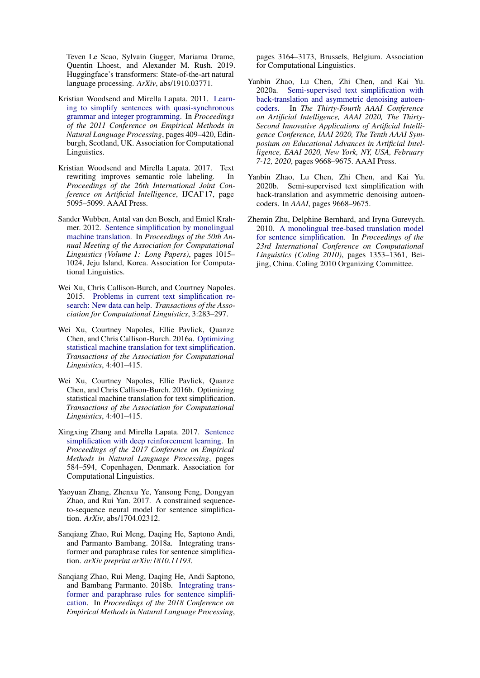Teven Le Scao, Sylvain Gugger, Mariama Drame, Quentin Lhoest, and Alexander M. Rush. 2019. Huggingface's transformers: State-of-the-art natural language processing. *ArXiv*, abs/1910.03771.

- <span id="page-12-8"></span>Kristian Woodsend and Mirella Lapata. 2011. [Learn](https://www.aclweb.org/anthology/D11-1038)[ing to simplify sentences with quasi-synchronous](https://www.aclweb.org/anthology/D11-1038) [grammar and integer programming.](https://www.aclweb.org/anthology/D11-1038) In *Proceedings of the 2011 Conference on Empirical Methods in Natural Language Processing*, pages 409–420, Edinburgh, Scotland, UK. Association for Computational Linguistics.
- <span id="page-12-0"></span>Kristian Woodsend and Mirella Lapata. 2017. Text rewriting improves semantic role labeling. In *Proceedings of the 26th International Joint Conference on Artificial Intelligence*, IJCAI'17, page 5095–5099. AAAI Press.
- <span id="page-12-2"></span>Sander Wubben, Antal van den Bosch, and Emiel Krahmer. 2012. [Sentence simplification by monolingual](https://www.aclweb.org/anthology/P12-1107) [machine translation.](https://www.aclweb.org/anthology/P12-1107) In *Proceedings of the 50th Annual Meeting of the Association for Computational Linguistics (Volume 1: Long Papers)*, pages 1015– 1024, Jeju Island, Korea. Association for Computational Linguistics.
- <span id="page-12-9"></span>Wei Xu, Chris Callison-Burch, and Courtney Napoles. 2015. [Problems in current text simplification re](https://doi.org/10.1162/tacl_a_00139)[search: New data can help.](https://doi.org/10.1162/tacl_a_00139) *Transactions of the Association for Computational Linguistics*, 3:283–297.
- <span id="page-12-3"></span>Wei Xu, Courtney Napoles, Ellie Pavlick, Quanze Chen, and Chris Callison-Burch. 2016a. [Optimizing](https://doi.org/10.1162/tacl_a_00107) [statistical machine translation for text simplification.](https://doi.org/10.1162/tacl_a_00107) *Transactions of the Association for Computational Linguistics*, 4:401–415.
- <span id="page-12-10"></span>Wei Xu, Courtney Napoles, Ellie Pavlick, Quanze Chen, and Chris Callison-Burch. 2016b. Optimizing statistical machine translation for text simplification. *Transactions of the Association for Computational Linguistics*, 4:401–415.
- <span id="page-12-6"></span>Xingxing Zhang and Mirella Lapata. 2017. [Sentence](https://doi.org/10.18653/v1/D17-1062) [simplification with deep reinforcement learning.](https://doi.org/10.18653/v1/D17-1062) In *Proceedings of the 2017 Conference on Empirical Methods in Natural Language Processing*, pages 584–594, Copenhagen, Denmark. Association for Computational Linguistics.
- <span id="page-12-4"></span>Yaoyuan Zhang, Zhenxu Ye, Yansong Feng, Dongyan Zhao, and Rui Yan. 2017. A constrained sequenceto-sequence neural model for sentence simplification. *ArXiv*, abs/1704.02312.
- <span id="page-12-11"></span>Sanqiang Zhao, Rui Meng, Daqing He, Saptono Andi, and Parmanto Bambang. 2018a. Integrating transformer and paraphrase rules for sentence simplification. *arXiv preprint arXiv:1810.11193*.
- <span id="page-12-5"></span>Sanqiang Zhao, Rui Meng, Daqing He, Andi Saptono, and Bambang Parmanto. 2018b. [Integrating trans](https://doi.org/10.18653/v1/D18-1355)[former and paraphrase rules for sentence simplifi](https://doi.org/10.18653/v1/D18-1355)[cation.](https://doi.org/10.18653/v1/D18-1355) In *Proceedings of the 2018 Conference on Empirical Methods in Natural Language Processing*,

pages 3164–3173, Brussels, Belgium. Association for Computational Linguistics.

- <span id="page-12-7"></span>Yanbin Zhao, Lu Chen, Zhi Chen, and Kai Yu. 2020a. [Semi-supervised text simplification with](https://aaai.org/ojs/index.php/AAAI/article/view/6515) [back-translation and asymmetric denoising autoen](https://aaai.org/ojs/index.php/AAAI/article/view/6515)[coders.](https://aaai.org/ojs/index.php/AAAI/article/view/6515) In *The Thirty-Fourth AAAI Conference on Artificial Intelligence, AAAI 2020, The Thirty-Second Innovative Applications of Artificial Intelligence Conference, IAAI 2020, The Tenth AAAI Symposium on Educational Advances in Artificial Intelligence, EAAI 2020, New York, NY, USA, February 7-12, 2020*, pages 9668–9675. AAAI Press.
- <span id="page-12-12"></span>Yanbin Zhao, Lu Chen, Zhi Chen, and Kai Yu. 2020b. Semi-supervised text simplification with back-translation and asymmetric denoising autoencoders. In *AAAI*, pages 9668–9675.
- <span id="page-12-1"></span>Zhemin Zhu, Delphine Bernhard, and Iryna Gurevych. 2010. [A monolingual tree-based translation model](https://www.aclweb.org/anthology/C10-1152) [for sentence simplification.](https://www.aclweb.org/anthology/C10-1152) In *Proceedings of the 23rd International Conference on Computational Linguistics (Coling 2010)*, pages 1353–1361, Beijing, China. Coling 2010 Organizing Committee.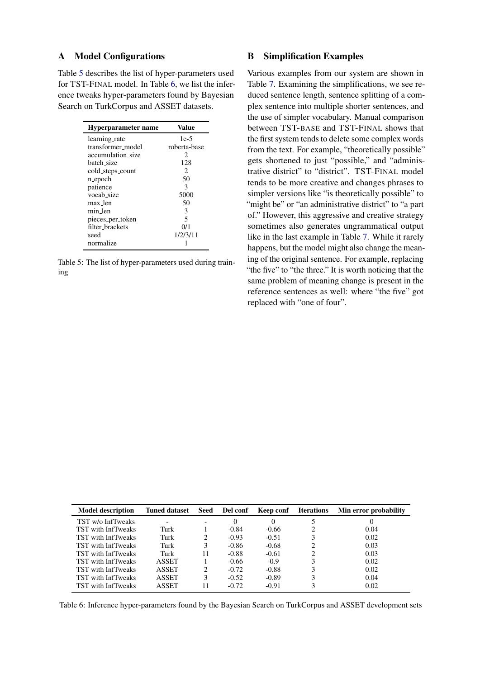## <span id="page-13-0"></span>A Model Configurations

Table [5](#page-13-1) describes the list of hyper-parameters used for TST-FINAL model. In Table [6,](#page-13-2) we list the inference tweaks hyper-parameters found by Bayesian Search on TurkCorpus and ASSET datasets.

<span id="page-13-1"></span>

| Hyperparameter name | Value                       |
|---------------------|-----------------------------|
| learning_rate       | $1e-5$                      |
| transformer_model   | roberta-base                |
| accumulation size   | 2                           |
| batch size          | 128                         |
| cold_steps_count    | $\mathcal{D}_{\mathcal{L}}$ |
| n_epoch             | 50                          |
| patience            | 3                           |
| vocab_size          | 5000                        |
| max_len             | 50                          |
| min len             | 3                           |
| pieces_per_token    | 5                           |
| filter_brackets     | 0/1                         |
| seed                | 1/2/3/11                    |
| normalize           |                             |

Table 5: The list of hyper-parameters used during training

## B Simplification Examples

Various examples from our system are shown in Table [7.](#page-14-0) Examining the simplifications, we see reduced sentence length, sentence splitting of a complex sentence into multiple shorter sentences, and the use of simpler vocabulary. Manual comparison between TST-BASE and TST-FINAL shows that the first system tends to delete some complex words from the text. For example, "theoretically possible" gets shortened to just "possible," and "administrative district" to "district". TST-FINAL model tends to be more creative and changes phrases to simpler versions like "is theoretically possible" to "might be" or "an administrative district" to "a part of." However, this aggressive and creative strategy sometimes also generates ungrammatical output like in the last example in Table [7.](#page-14-0) While it rarely happens, but the model might also change the meaning of the original sentence. For example, replacing "the five" to "the three." It is worth noticing that the same problem of meaning change is present in the reference sentences as well: where "the five" got replaced with "one of four".

<span id="page-13-2"></span>

| <b>Model description</b>  | <b>Tuned dataset</b> | Seed | Del conf | <b>Keep conf</b> Iterations | Min error probability |
|---------------------------|----------------------|------|----------|-----------------------------|-----------------------|
| TST w/o InfTweaks         |                      |      | $\theta$ | $\theta$                    | O                     |
| TST with InfTweaks        | Turk                 |      | $-0.84$  | $-0.66$                     | 0.04                  |
| TST with InfTweaks        | Turk                 |      | $-0.93$  | $-0.51$                     | 0.02                  |
| TST with InfTweaks        | Turk                 | 3    | $-0.86$  | $-0.68$                     | 0.03                  |
| TST with InfTweaks        | Turk                 | 11   | $-0.88$  | $-0.61$                     | 0.03                  |
| TST with InfTweaks        | <b>ASSET</b>         |      | $-0.66$  | $-0.9$                      | 0.02                  |
| TST with InfTweaks        | ASSET                | 2    | $-0.72$  | $-0.88$                     | 0.02                  |
| <b>TST</b> with InfTweaks | <b>ASSET</b>         | 3    | $-0.52$  | $-0.89$                     | 0.04                  |
| TST with InfTweaks        | ASSET                |      | $-0.72$  | $-0.91$                     | 0.02                  |

Table 6: Inference hyper-parameters found by the Bayesian Search on TurkCorpus and ASSET development sets